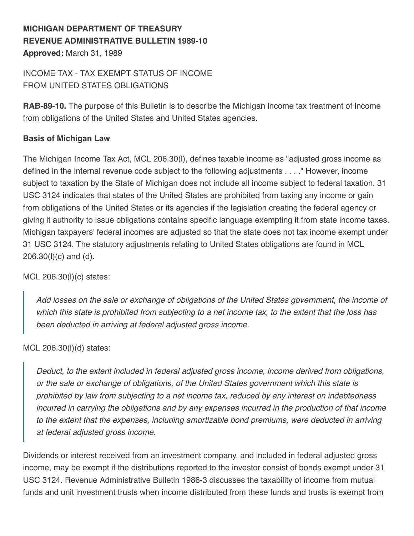# **MICHIGAN DEPARTMENT OF TREASURY REVENUE ADMINISTRATIVE BULLETIN 1989-10 Approved:** March 31, 1989

# INCOME TAX - TAX EXEMPT STATUS OF INCOME FROM UNITED STATES OBLIGATIONS

**RAB-89-10.** The purpose of this Bulletin is to describe the Michigan income tax treatment of income from obligations of the United States and United States agencies.

## **Basis of Michigan Law**

The Michigan Income Tax Act, MCL 206.30(l), defines taxable income as "adjusted gross income as defined in the internal revenue code subject to the following adjustments . . . ." However, income subject to taxation by the State of Michigan does not include all income subject to federal taxation. 31 USC 3124 indicates that states of the United States are prohibited from taxing any income or gain from obligations of the United States or its agencies if the legislation creating the federal agency or giving it authority to issue obligations contains specific language exempting it from state income taxes. Michigan taxpayers' federal incomes are adjusted so that the state does not tax income exempt under 31 USC 3124. The statutory adjustments relating to United States obligations are found in MCL 206.30(l)(c) and (d).

MCL 206.30(l)(c) states:

*Add losses on the sale or exchange of obligations of the United States government, the income of which this state is prohibited from subjecting to a net income tax, to the extent that the loss has been deducted in arriving at federal adjusted gross income.*

MCL 206.30(l)(d) states:

*Deduct, to the extent included in federal adjusted gross income, income derived from obligations, or the sale or exchange of obligations, of the United States government which this state is prohibited by law from subjecting to a net income tax, reduced by any interest on indebtedness incurred in carrying the obligations and by any expenses incurred in the production of that income to the extent that the expenses, including amortizable bond premiums, were deducted in arriving at federal adjusted gross income.*

Dividends or interest received from an investment company, and included in federal adjusted gross income, may be exempt if the distributions reported to the investor consist of bonds exempt under 31 USC 3124. Revenue Administrative Bulletin 1986-3 discusses the taxability of income from mutual funds and unit investment trusts when income distributed from these funds and trusts is exempt from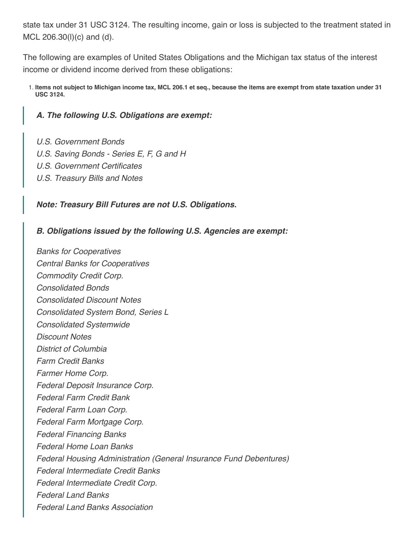state tax under 31 USC 3124. The resulting income, gain or loss is subjected to the treatment stated in MCL 206.30(l)(c) and (d).

The following are examples of United States Obligations and the Michigan tax status of the interest income or dividend income derived from these obligations:

1. **Items not subject to Michigan income tax, MCL 206.1 et seq., because the items are exempt from state taxation under 31 USC 3124.**

#### *A. The following U.S. Obligations are exempt:*

- *U.S. Government Bonds*
- *U.S. Saving Bonds Series E, F, G and H*
- *U.S. Government Certificates*
- *U.S. Treasury Bills and Notes*

#### *Note: Treasury Bill Futures are not U.S. Obligations.*

#### *B. Obligations issued by the following U.S. Agencies are exempt:*

*Banks for Cooperatives Central Banks for Cooperatives Commodity Credit Corp. Consolidated Bonds Consolidated Discount Notes Consolidated System Bond, Series L Consolidated Systemwide Discount Notes District of Columbia Farm Credit Banks Farmer Home Corp. Federal Deposit Insurance Corp. Federal Farm Credit Bank Federal Farm Loan Corp. Federal Farm Mortgage Corp. Federal Financing Banks Federal Home Loan Banks Federal Housing Administration (General Insurance Fund Debentures) Federal Intermediate Credit Banks Federal Intermediate Credit Corp. Federal Land Banks Federal Land Banks Association*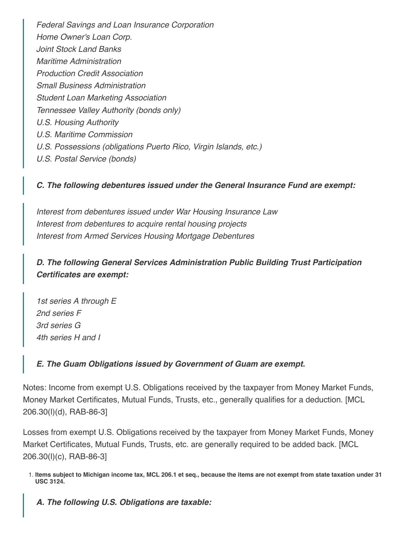*Federal Savings and Loan Insurance Corporation Home Owner's Loan Corp. Joint Stock Land Banks Maritime Administration Production Credit Association Small Business Administration Student Loan Marketing Association Tennessee Valley Authority (bonds only) U.S. Housing Authority U.S. Maritime Commission U.S. Possessions (obligations Puerto Rico, Virgin Islands, etc.) U.S. Postal Service (bonds)*

## *C. The following debentures issued under the General Insurance Fund are exempt:*

*Interest from debentures issued under War Housing Insurance Law Interest from debentures to acquire rental housing projects Interest from Armed Services Housing Mortgage Debentures*

*D. The following General Services Administration Public Building Trust Participation Certificates are exempt:*

*1st series A through E 2nd series F 3rd series G 4th series H and I*

## *E. The Guam Obligations issued by Government of Guam are exempt.*

Notes: Income from exempt U.S. Obligations received by the taxpayer from Money Market Funds, Money Market Certificates, Mutual Funds, Trusts, etc., generally qualifies for a deduction. [MCL 206.30(l)(d), RAB-86-3]

Losses from exempt U.S. Obligations received by the taxpayer from Money Market Funds, Money Market Certificates, Mutual Funds, Trusts, etc. are generally required to be added back. [MCL 206.30(l)(c), RAB-86-3]

*A. The following U.S. Obligations are taxable:*

<sup>1.</sup> **Items subject to Michigan income tax, MCL 206.1 et seq., because the items are not exempt from state taxation under 31 USC 3124.**